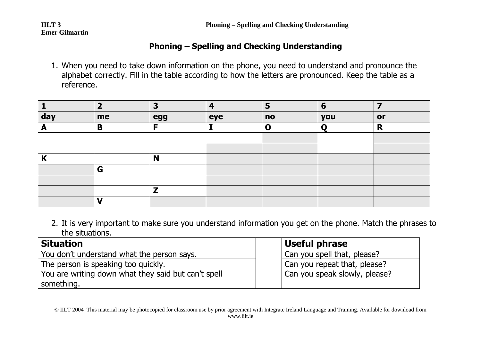**Emer Gilmartin**

#### **Phoning – Spelling and Checking Understanding**

1. When you need to take down information on the phone, you need to understand and pronounce the alphabet correctly. Fill in the table according to how the letters are pronounced. Keep the table as a reference.

|     |    | Э   |     | −<br>Þ      | 6   |    |
|-----|----|-----|-----|-------------|-----|----|
| day | me | egg | eye | no          | you | or |
| г   | B  | Е   |     | $\mathbf 0$ |     | R  |
|     |    |     |     |             |     |    |
|     |    |     |     |             |     |    |
| n   |    | N   |     |             |     |    |
|     | G  |     |     |             |     |    |
|     |    |     |     |             |     |    |
|     |    |     |     |             |     |    |
|     |    |     |     |             |     |    |

2. It is very important to make sure you understand information you get on the phone. Match the phrases to the situations.

| <b>Situation</b>                                    | <b>Useful phrase</b>          |
|-----------------------------------------------------|-------------------------------|
| You don't understand what the person says.          | Can you spell that, please?   |
| The person is speaking too quickly.                 | Can you repeat that, please?  |
| You are writing down what they said but can't spell | Can you speak slowly, please? |
| something.                                          |                               |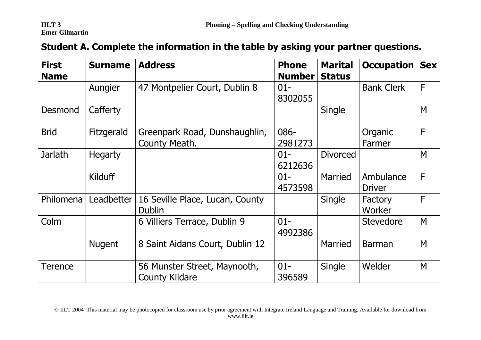# **Emer Gilmartin**

| Student A. Complete the information in the table by asking your partner questions. |  |  |  |  |
|------------------------------------------------------------------------------------|--|--|--|--|
|------------------------------------------------------------------------------------|--|--|--|--|

| <b>First</b><br><b>Name</b> | <b>Surname</b> | <b>Address</b>                                        | <b>Phone</b><br><b>Number</b> | <b>Marital</b><br><b>Status</b> | <b>Occupation</b>          | <b>Sex</b>   |
|-----------------------------|----------------|-------------------------------------------------------|-------------------------------|---------------------------------|----------------------------|--------------|
|                             | Aungier        | 47 Montpelier Court, Dublin 8                         | $01 -$<br>8302055             |                                 | <b>Bank Clerk</b>          | $\mathsf{F}$ |
| <b>Desmond</b>              | Cafferty       |                                                       |                               | Single                          |                            | M            |
| <b>Brid</b>                 | Fitzgerald     | Greenpark Road, Dunshaughlin,<br>County Meath.        | 086-<br>2981273               |                                 | Organic<br>Farmer          | F            |
| <b>Jarlath</b>              | <b>Hegarty</b> |                                                       | $01 -$<br>6212636             | <b>Divorced</b>                 |                            | M            |
|                             | Kilduff        |                                                       | $01 -$<br>4573598             | Married                         | Ambulance<br><b>Driver</b> | F            |
| Philomena                   | Leadbetter     | 16 Seville Place, Lucan, County<br><b>Dublin</b>      |                               | Single                          | Factory<br>Worker          | F            |
| Colm                        |                | 6 Villiers Terrace, Dublin 9                          | $01 -$<br>4992386             |                                 | <b>Stevedore</b>           | M            |
|                             | <b>Nugent</b>  | 8 Saint Aidans Court, Dublin 12                       |                               | Married                         | <b>Barman</b>              | M            |
| <b>Terence</b>              |                | 56 Munster Street, Maynooth,<br><b>County Kildare</b> | $01 -$<br>396589              | <b>Single</b>                   | Welder                     | M            |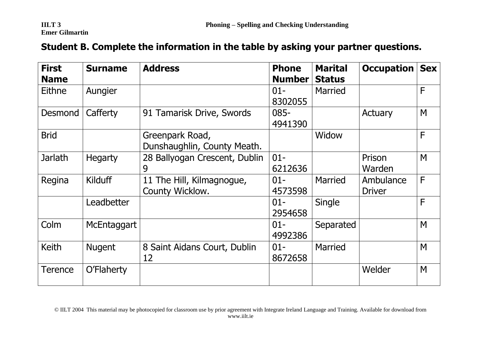## **Emer Gilmartin**

### **Student B. Complete the information in the table by asking your partner questions.**

| <b>First</b><br><b>Name</b> | <b>Surname</b> | <b>Address</b>                                 | <b>Phone</b><br><b>Number</b> | <b>Marital</b><br><b>Status</b> | <b>Occupation</b>          | <b>Sex</b> |
|-----------------------------|----------------|------------------------------------------------|-------------------------------|---------------------------------|----------------------------|------------|
| Eithne                      | Aungier        |                                                | $01 -$<br>8302055             | <b>Married</b>                  |                            | F          |
| <b>Desmond</b>              | Cafferty       | 91 Tamarisk Drive, Swords                      | $085 -$<br>4941390            |                                 | Actuary                    | M          |
| <b>Brid</b>                 |                | Greenpark Road,<br>Dunshaughlin, County Meath. |                               | Widow                           |                            | F          |
| <b>Jarlath</b>              | <b>Hegarty</b> | 28 Ballyogan Crescent, Dublin<br>9             | $01 -$<br>6212636             |                                 | Prison<br>Warden           | M          |
| Regina                      | Kilduff        | 11 The Hill, Kilmagnogue,<br>County Wicklow.   | $01 -$<br>4573598             | <b>Married</b>                  | Ambulance<br><b>Driver</b> | F          |
|                             | Leadbetter     |                                                | $01 -$<br>2954658             | Single                          |                            | F          |
| Colm                        | McEntaggart    |                                                | $01 -$<br>4992386             | Separated                       |                            | M          |
| <b>Keith</b>                | <b>Nugent</b>  | 8 Saint Aidans Court, Dublin<br>12             | $01 -$<br>8672658             | <b>Married</b>                  |                            | M          |
| <b>Terence</b>              | O'Flaherty     |                                                |                               |                                 | Welder                     | M          |